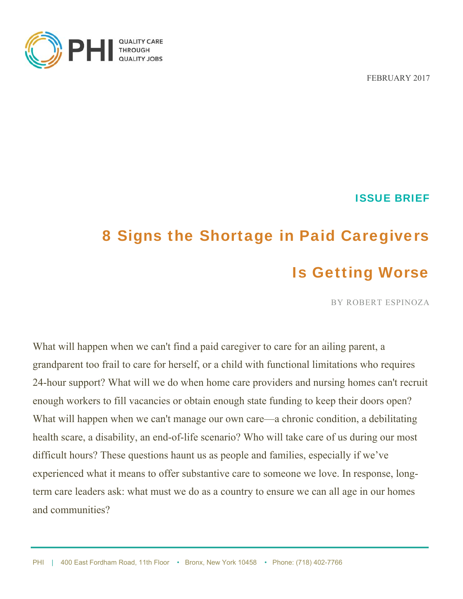

FEBRUARY 2017

ISSUE BRIEF

# 8 Signs the Shortage in Paid Caregivers Is Getting Worse

BY ROBERT ESPINOZA

What will happen when we can't find a paid caregiver to care for an ailing parent, a grandparent too frail to care for herself, or a child with functional limitations who requires 24-hour support? What will we do when home care providers and nursing homes can't recruit enough workers to fill vacancies or obtain enough state funding to keep their doors open? What will happen when we can't manage our own care—a chronic condition, a debilitating health scare, a disability, an end-of-life scenario? Who will take care of us during our most difficult hours? These questions haunt us as people and families, especially if we've experienced what it means to offer substantive care to someone we love. In response, longterm care leaders ask: what must we do as a country to ensure we can all age in our homes and communities?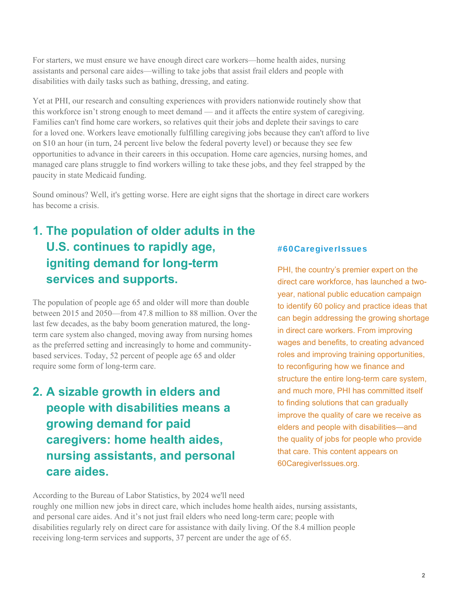For starters, we must ensure we have enough direct care workers—home health aides, nursing assistants and personal care aides—willing to take jobs that assist frail elders and people with disabilities with daily tasks such as bathing, dressing, and eating.

Yet at PHI, our research and consulting experiences with providers nationwide routinely show that this workforce isn't strong enough to meet demand — and it affects the entire system of caregiving. Families can't find home care workers, so relatives quit their jobs and deplete their savings to care for a loved one. Workers leave emotionally fulfilling caregiving jobs because they can't afford to live on \$10 an hour (in turn, 24 percent live below the federal poverty level) or because they see few opportunities to advance in their careers in this occupation. Home care agencies, nursing homes, and managed care plans struggle to find workers willing to take these jobs, and they feel strapped by the paucity in state Medicaid funding.

Sound ominous? Well, it's getting worse. Here are eight signs that the shortage in direct care workers has become a crisis.

## **1. The population of older adults in the U.S. continues to rapidly age, igniting demand for long-term services and supports.**

The population of people age 65 and older will more than double between 2015 and 2050—from 47.8 million to 88 million. Over the last few decades, as the baby boom generation matured, the longterm care system also changed, moving away from nursing homes as the preferred setting and increasingly to home and communitybased services. Today, 52 percent of people age 65 and older require some form of long-term care.

## **2. A sizable growth in elders and people with disabilities means a growing demand for paid caregivers: home health aides, nursing assistants, and personal care aides.**

#### #60CaregiverIssues

PHI, the country's premier expert on the direct care workforce, has launched a twoyear, national public education campaign to identify 60 policy and practice ideas that can begin addressing the growing shortage in direct care workers. From improving wages and benefits, to creating advanced roles and improving training opportunities, to reconfiguring how we finance and structure the entire long-term care system, and much more, PHI has committed itself to finding solutions that can gradually improve the quality of care we receive as elders and people with disabilities—and the quality of jobs for people who provide that care. This content appears on 60CaregiverIssues.org.

According to the Bureau of Labor Statistics, by 2024 we'll need

roughly one million new jobs in direct care, which includes home health aides, nursing assistants, and personal care aides. And it's not just frail elders who need long-term care; people with disabilities regularly rely on direct care for assistance with daily living. Of the 8.4 million people receiving long-term services and supports, 37 percent are under the age of 65.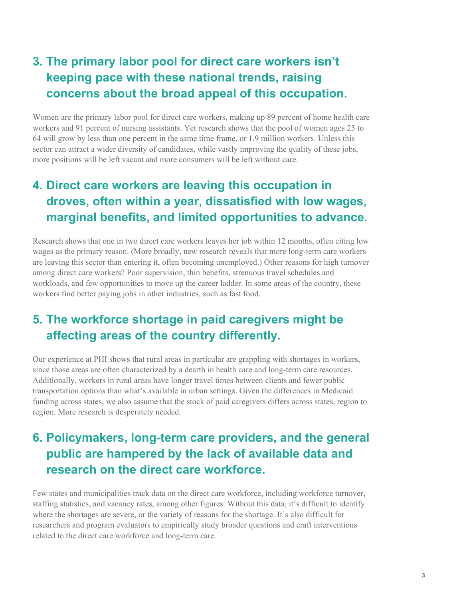#### **3. The primary labor pool for direct care workers isn't keeping pace with these national trends, raising concerns about the broad appeal of this occupation.**

Women are the primary labor pool for direct care workers, making up 89 percent of home health care workers and 91 percent of nursing assistants. Yet research shows that the pool of women ages 25 to 64 will grow by less than one percent in the same time frame, or 1.9 million workers. Unless this sector can attract a wider diversity of candidates, while vastly improving the quality of these jobs, more positions will be left vacant and more consumers will be left without care.

#### **4. Direct care workers are leaving this occupation in droves, often within a year, dissatisfied with low wages, marginal benefits, and limited opportunities to advance.**

Research shows that one in two direct care workers leaves her job within 12 months, often citing low wages as the primary reason. (More broadly, new research reveals that more long-term care workers are leaving this sector than entering it, often becoming unemployed.) Other reasons for high turnover among direct care workers? Poor supervision, thin benefits, strenuous travel schedules and workloads, and few opportunities to move up the career ladder. In some areas of the country, these workers find better paying jobs in other industries, such as fast food.

#### **5. The workforce shortage in paid caregivers might be affecting areas of the country differently.**

Our experience at PHI shows that rural areas in particular are grappling with shortages in workers, since those areas are often characterized by a dearth in health care and long-term care resources. Additionally, workers in rural areas have longer travel times between clients and fewer public transportation options than what's available in urban settings. Given the differences in Medicaid funding across states, we also assume that the stock of paid caregivers differs across states, region to region. More research is desperately needed.

#### **6. Policymakers, long-term care providers, and the general public are hampered by the lack of available data and research on the direct care workforce.**

Few states and municipalities track data on the direct care workforce, including workforce turnover, staffing statistics, and vacancy rates, among other figures. Without this data, it's difficult to identify where the shortages are severe, or the variety of reasons for the shortage. It's also difficult for researchers and program evaluators to empirically study broader questions and craft interventions related to the direct care workforce and long-term care.